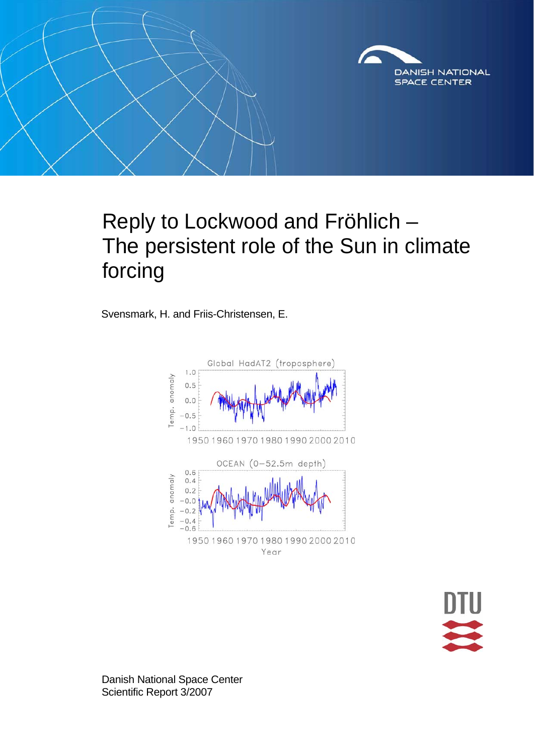

## Reply to Lockwood and Fröhlich – The persistent role of the Sun in climate forcing

Svensmark, H. and Friis-Christensen, E.



Danish National Space Center Scientific Report 3/2007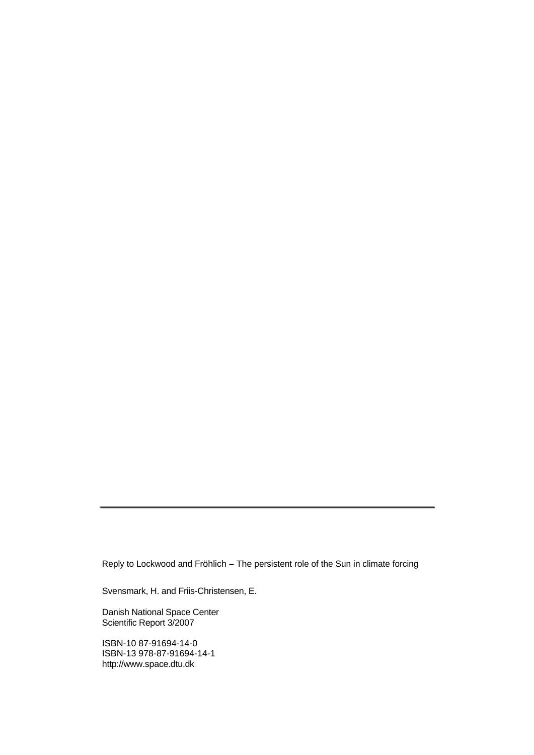Reply to Lockwood and Fröhlich **–** The persistent role of the Sun in climate forcing

Svensmark, H. and Friis-Christensen, E.

Danish National Space Center Scientific Report 3/2007

ISBN-10 87-91694-14-0 ISBN-13 978-87-91694-14-1 [http://www.space.dtu.dk](http://www.space.dtu.dk/)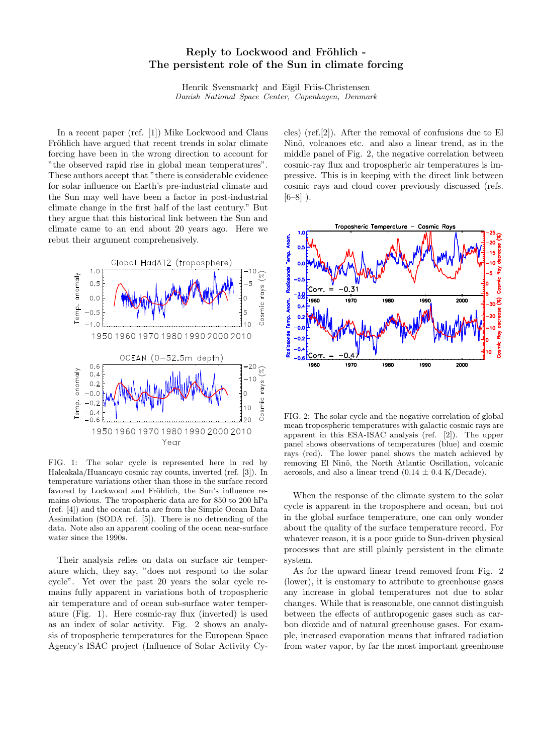## Reply to Lockwood and Fröhlich -The persistent role of the Sun in climate forcing

Henrik Svensmark† and Eigil Friis-Christensen Danish National Space Center, Copenhagen, Denmark

In a recent paper (ref. [1]) Mike Lockwood and Claus Frőhlich have argued that recent trends in solar climate forcing have been in the wrong direction to account for "the observed rapid rise in global mean temperatures". These authors accept that "there is considerable evidence for solar influence on Earth's pre-industrial climate and the Sun may well have been a factor in post-industrial climate change in the first half of the last century." But they argue that this historical link between the Sun and climate came to an end about 20 years ago. Here we rebut their argument comprehensively.



FIG. 1: The solar cycle is represented here in red by Haleakala/Huancayo cosmic ray counts, inverted (ref. [3]). In temperature variations other than those in the surface record favored by Lockwood and Fröhlich, the Sun's influence remains obvious. The tropospheric data are for 850 to 200 hPa (ref. [4]) and the ocean data are from the Simple Ocean Data Assimilation (SODA ref. [5]). There is no detrending of the data. Note also an apparent cooling of the ocean near-surface water since the 1990s.

Their analysis relies on data on surface air temperature which, they say, "does not respond to the solar cycle". Yet over the past 20 years the solar cycle remains fully apparent in variations both of tropospheric air temperature and of ocean sub-surface water temperature (Fig. 1). Here cosmic-ray flux (inverted) is used as an index of solar activity. Fig. 2 shows an analysis of tropospheric temperatures for the European Space Agency's ISAC project (Influence of Solar Activity Cycles) (ref.[2]). After the removal of confusions due to El Nino, volcanoes etc. and also a linear trend, as in the middle panel of Fig. 2, the negative correlation between cosmic-ray flux and tropospheric air temperatures is impressive. This is in keeping with the direct link between cosmic rays and cloud cover previously discussed (refs.  $[6-8]$ ).



FIG. 2: The solar cycle and the negative correlation of global mean tropospheric temperatures with galactic cosmic rays are apparent in this ESA-ISAC analysis (ref. [2]). The upper panel shows observations of temperatures (blue) and cosmic rays (red). The lower panel shows the match achieved by removing El Ninõ, the North Atlantic Oscillation, volcanic aerosols, and also a linear trend  $(0.14 \pm 0.4 \text{ K/Decade}).$ 

When the response of the climate system to the solar cycle is apparent in the troposphere and ocean, but not in the global surface temperature, one can only wonder about the quality of the surface temperature record. For whatever reason, it is a poor guide to Sun-driven physical processes that are still plainly persistent in the climate system.

As for the upward linear trend removed from Fig. 2 (lower), it is customary to attribute to greenhouse gases any increase in global temperatures not due to solar changes. While that is reasonable, one cannot distinguish between the effects of anthropogenic gases such as carbon dioxide and of natural greenhouse gases. For example, increased evaporation means that infrared radiation from water vapor, by far the most important greenhouse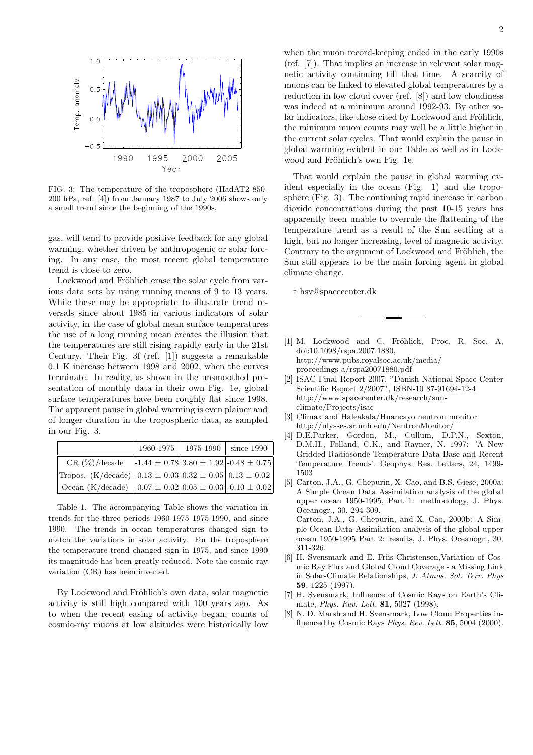

FIG. 3: The temperature of the troposphere (HadAT2 850- 200 hPa, ref. [4]) from January 1987 to July 2006 shows only a small trend since the beginning of the 1990s.

gas, will tend to provide positive feedback for any global warming, whether driven by anthropogenic or solar forcing. In any case, the most recent global temperature trend is close to zero.

Lockwood and Fröhlich erase the solar cycle from various data sets by using running means of 9 to 13 years. While these may be appropriate to illustrate trend reversals since about 1985 in various indicators of solar activity, in the case of global mean surface temperatures the use of a long running mean creates the illusion that the temperatures are still rising rapidly early in the 21st Century. Their Fig. 3f (ref. [1]) suggests a remarkable 0.1 K increase between 1998 and 2002, when the curves terminate. In reality, as shown in the unsmoothed presentation of monthly data in their own Fig. 1e, global surface temperatures have been roughly flat since 1998. The apparent pause in global warming is even plainer and of longer duration in the tropospheric data, as sampled in our Fig. 3.

|                                                                            |                                                                 | 1960-1975   1975-1990   since 1990 |  |
|----------------------------------------------------------------------------|-----------------------------------------------------------------|------------------------------------|--|
| $CR(\%)/decade$                                                            | $-1.44 \pm 0.78 \, \vert 3.80 \pm 1.92 \, \vert -0.48 \pm 0.75$ |                                    |  |
| Tropos. (K/decade) -0.13 $\pm$ 0.03 0.32 $\pm$ 0.05 0.13 $\pm$ 0.02        |                                                                 |                                    |  |
| $\cos( K/\text{decade})$ -0.07 $\pm$ 0.02 0.05 $\pm$ 0.03 -0.10 $\pm$ 0.02 |                                                                 |                                    |  |

Table 1. The accompanying Table shows the variation in trends for the three periods 1960-1975 1975-1990, and since 1990. The trends in ocean temperatures changed sign to match the variations in solar activity. For the troposphere the temperature trend changed sign in 1975, and since 1990 its magnitude has been greatly reduced. Note the cosmic ray variation (CR) has been inverted.

By Lockwood and Fröhlich's own data, solar magnetic activity is still high compared with 100 years ago. As to when the recent easing of activity began, counts of cosmic-ray muons at low altitudes were historically low

when the muon record-keeping ended in the early 1990s (ref. [7]). That implies an increase in relevant solar magnetic activity continuing till that time. A scarcity of muons can be linked to elevated global temperatures by a reduction in low cloud cover (ref. [8]) and low cloudiness was indeed at a minimum around 1992-93. By other solar indicators, like those cited by Lockwood and Fröhlich, the minimum muon counts may well be a little higher in the current solar cycles. That would explain the pause in global warming evident in our Table as well as in Lockwood and Fröhlich's own Fig. 1e.

That would explain the pause in global warming evident especially in the ocean (Fig. 1) and the troposphere (Fig. 3). The continuing rapid increase in carbon dioxide concentrations during the past 10-15 years has apparently been unable to overrule the flattening of the temperature trend as a result of the Sun settling at a high, but no longer increasing, level of magnetic activity. Contrary to the argument of Lockwood and Fröhlich, the Sun still appears to be the main forcing agent in global climate change.

† hsv@spacecenter.dk

- [1] M. Lockwood and C. Fröhlich, Proc. R. Soc. A, doi:10.1098/rspa.2007.1880, http://www.pubs.royalsoc.ac.uk/media/ proceedings a/rspa20071880.pdf
- [2] ISAC Final Report 2007, "Danish National Space Center Scientific Report 2/2007", ISBN-10 87-91694-12-4 http://www.spacecenter.dk/research/sunclimate/Projects/isac
- [3] Climax and Haleakala/Huancayo neutron monitor http://ulysses.sr.unh.edu/NeutronMonitor/
- [4] D.E.Parker, Gordon, M., Cullum, D.P.N., Sexton, D.M.H., Folland, C.K., and Rayner, N. 1997: 'A New Gridded Radiosonde Temperature Data Base and Recent Temperature Trends'. Geophys. Res. Letters, 24, 1499- 1503
- [5] Carton, J.A., G. Chepurin, X. Cao, and B.S. Giese, 2000a: A Simple Ocean Data Assimilation analysis of the global upper ocean 1950-1995, Part 1: methodology, J. Phys. Oceanogr., 30, 294-309. Carton, J.A., G. Chepurin, and X. Cao, 2000b: A Simple Ocean Data Assimilation analysis of the global upper ocean 1950-1995 Part 2: results, J. Phys. Oceanogr., 30, 311-326.
- [6] H. Svensmark and E. Friis-Christensen,Variation of Cosmic Ray Flux and Global Cloud Coverage - a Missing Link in Solar-Climate Relationships, J. Atmos. Sol. Terr. Phys 59, 1225 (1997).
- [7] H. Svensmark, Influence of Cosmic Rays on Earth's Climate, Phys. Rev. Lett. 81, 5027 (1998).
- [8] N. D. Marsh and H. Svensmark, Low Cloud Properties influenced by Cosmic Rays Phys. Rev. Lett. 85, 5004 (2000).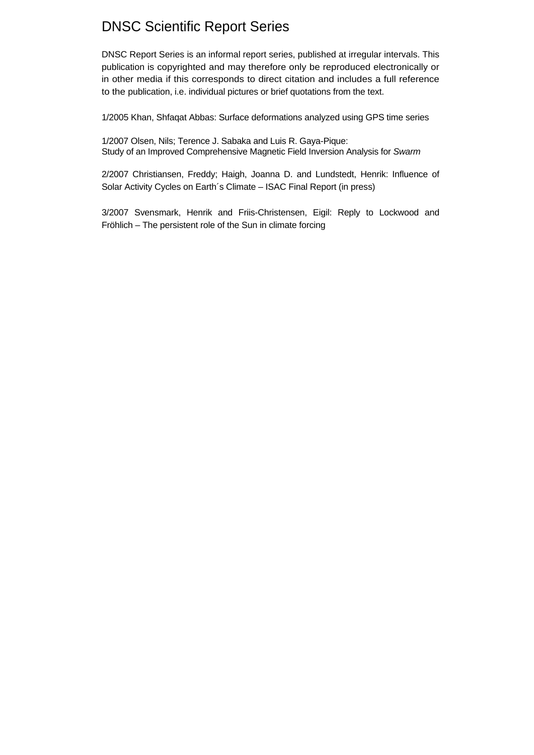## DNSC Scientific Report Series

DNSC Report Series is an informal report series, published at irregular intervals. This publication is copyrighted and may therefore only be reproduced electronically or in other media if this corresponds to direct citation and includes a full reference to the publication, i.e. individual pictures or brief quotations from the text.

1/2005 Khan, Shfaqat Abbas: Surface deformations analyzed using GPS time series

1/2007 Olsen, Nils; Terence J. Sabaka and Luis R. Gaya-Pique: Study of an Improved Comprehensive Magnetic Field Inversion Analysis for *Swarm* 

2/2007 Christiansen, Freddy; Haigh, Joanna D. and Lundstedt, Henrik: Influence of Solar Activity Cycles on Earth´s Climate – ISAC Final Report (in press)

3/2007 Svensmark, Henrik and Friis-Christensen, Eigil: Reply to Lockwood and Fröhlich – The persistent role of the Sun in climate forcing